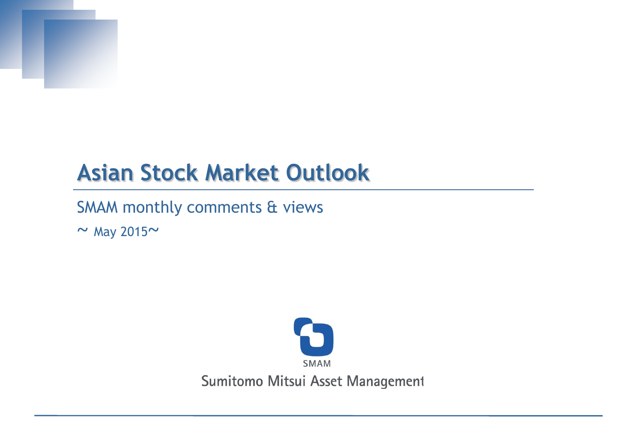

# **Asian Stock Market Outlook**

SMAM monthly comments & views

*~* May 2015*~*

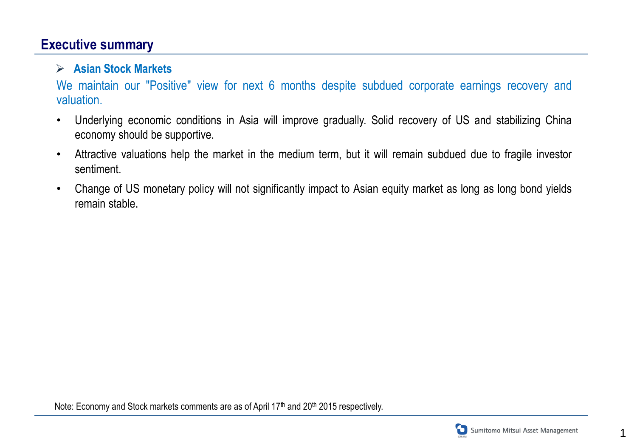#### **Executive summary**

#### **Asian Stock Markets**

We maintain our "Positive" view for next 6 months despite subdued corporate earnings recovery and valuation.

- Underlying economic conditions in Asia will improve gradually. Solid recovery of US and stabilizing China economy should be supportive.
- Attractive valuations help the market in the medium term, but it will remain subdued due to fragile investor sentiment.
- Change of US monetary policy will not significantly impact to Asian equity market as long as long bond yields remain stable.



1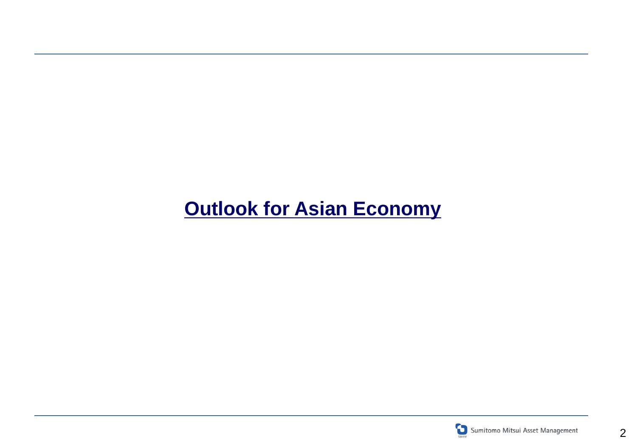# **Outlook for Asian Economy**

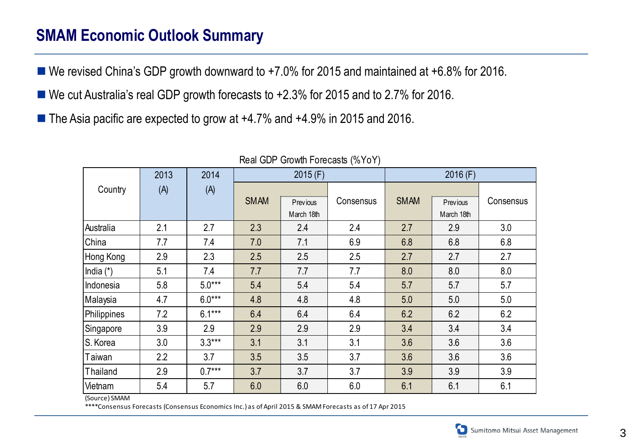### **SMAM Economic Outlook Summary**

- We revised China's GDP growth downward to +7.0% for 2015 and maintained at +6.8% for 2016.
- We cut Australia's real GDP growth forecasts to +2.3% for 2015 and to 2.7% for 2016.
- The Asia pacific are expected to grow at +4.7% and +4.9% in 2015 and 2016.

|                                     | 2013 | 2014     |             | 2015(F)                |           | 2016(F)     |                               |           |  |
|-------------------------------------|------|----------|-------------|------------------------|-----------|-------------|-------------------------------|-----------|--|
| Country                             | (A)  | (A)      |             |                        |           |             |                               |           |  |
|                                     |      |          | <b>SMAM</b> | Previous<br>March 18th | Consensus | <b>SMAM</b> | <b>Previous</b><br>March 18th | Consensus |  |
| Australia                           | 2.1  | 2.7      | 2.3         | 2.4                    | 2.4       | 2.7         | 2.9                           | 3.0       |  |
| China                               | 7.7  | 7.4      | 7.0         | 7.1                    | 6.9       | 6.8         | 6.8                           | 6.8       |  |
| Hong Kong                           | 2.9  | 2.3      | 2.5         | 2.5                    | 2.5       | 2.7         | 2.7                           | 2.7       |  |
| India (*)                           | 5.1  | 7.4      | 7.7         | 7.7                    | 7.7       | 8.0         | 8.0                           | 8.0       |  |
| Indonesia                           | 5.8  | $5.0***$ | 5.4         | 5.4                    | 5.4       | 5.7         | 5.7                           | 5.7       |  |
| Malaysia                            | 4.7  | $6.0***$ | 4.8         | 4.8                    | 4.8       | 5.0         | 5.0                           | 5.0       |  |
| Philippines                         | 7.2  | $6.1***$ | 6.4         | 6.4                    | 6.4       | 6.2         | 6.2                           | 6.2       |  |
| Singapore                           | 3.9  | 2.9      | 2.9         | 2.9                    | 2.9       | 3.4         | 3.4                           | 3.4       |  |
| S. Korea                            | 3.0  | $3.3***$ | 3.1         | 3.1                    | 3.1       | 3.6         | 3.6                           | 3.6       |  |
| Taiwan                              | 2.2  | 3.7      | 3.5         | 3.5                    | 3.7       | 3.6         | 3.6                           | 3.6       |  |
| Thailand                            | 2.9  | $0.7***$ | 3.7         | 3.7                    | 3.7       | 3.9         | 3.9                           | 3.9       |  |
| Vietnam<br>$(S_{OII}$ $(a)$ $SMAMA$ | 5.4  | 5.7      | 6.0         | 6.0                    | 6.0       | 6.1         | 6.1                           | 6.1       |  |

#### Real GDP Growth Forecasts (%YoY)

(Source) SMAM

\*\*\*\*Consensus Forecasts (Consensus Economics Inc.) as of April 2015 & SMAM Forecasts as of 17 Apr 2015

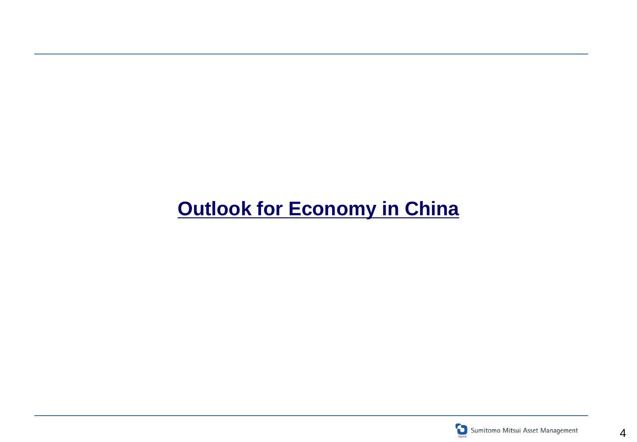# **Outlook for Economy in China**

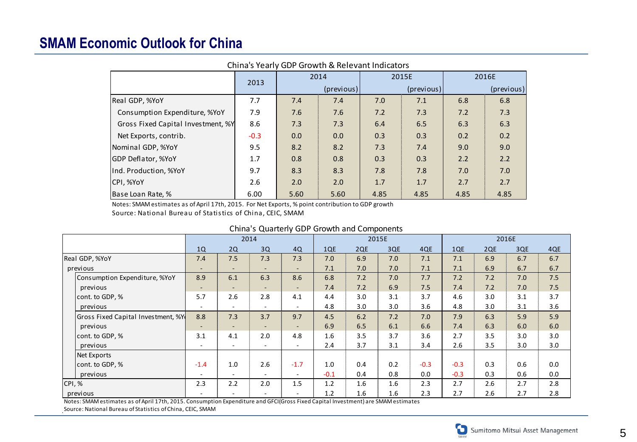#### **SMAM Economic Outlook for China**

| China's Yearly GDP Growth & Relevant Indicators |        |            |      |      |            |       |            |  |  |  |
|-------------------------------------------------|--------|------------|------|------|------------|-------|------------|--|--|--|
|                                                 | 2013   | 2014       |      |      | 2015E      | 2016E |            |  |  |  |
|                                                 |        | (previous) |      |      | (previous) |       | (previous) |  |  |  |
| Real GDP, %YoY                                  | 7.7    | 7.4        | 7.4  | 7.0  | 7.1        | 6.8   | 6.8        |  |  |  |
| Consumption Expenditure, %YoY                   | 7.9    | 7.6        | 7.6  | 7.2  | 7.3        | 7.2   | 7.3        |  |  |  |
| Gross Fixed Capital Investment, %Y              | 8.6    | 7.3        | 7.3  | 6.4  | 6.5        | 6.3   | 6.3        |  |  |  |
| Net Exports, contrib.                           | $-0.3$ | 0.0        | 0.0  | 0.3  | 0.3        | 0.2   | 0.2        |  |  |  |
| Nominal GDP, %YoY                               | 9.5    | 8.2        | 8.2  | 7.3  | 7.4        | 9.0   | 9.0        |  |  |  |
| <b>GDP Deflator, %YoY</b>                       | 1.7    | 0.8        | 0.8  | 0.3  | 0.3        | 2.2   | 2.2        |  |  |  |
| Ind. Production, %YoY                           | 9.7    | 8.3        | 8.3  | 7.8  | 7.8        | 7.0   | 7.0        |  |  |  |
| CPI, %YoY                                       | 2.6    | 2.0        | 2.0  | 1.7  | 1.7        | 2.7   | 2.7        |  |  |  |
| Base Loan Rate, %                               | 6.00   | 5.60       | 5.60 | 4.85 | 4.85       | 4.85  | 4.85       |  |  |  |

#### China's Yearly GDP Growth & Relevant Indicators

#### China's Quarterly GDP Growth and Components

| Notes: SMAM estimates as of April 17th, 2015. For Net Exports, % point contribution to GDP growth<br>Source: National Bureau of Statistics of China, CEIC, SMAM |                          |                          |      |                          |        |     |       |        |        |     |       |     |
|-----------------------------------------------------------------------------------------------------------------------------------------------------------------|--------------------------|--------------------------|------|--------------------------|--------|-----|-------|--------|--------|-----|-------|-----|
| China's Quarterly GDP Growth and Components                                                                                                                     |                          |                          |      |                          |        |     |       |        |        |     |       |     |
|                                                                                                                                                                 |                          |                          | 2014 |                          |        |     | 2015E |        |        |     | 2016E |     |
|                                                                                                                                                                 | 1Q                       | 2Q                       | 3Q   | 4Q                       | 1QE    | 2QE | 3QE   | 4QE    | 1QE    | 2QE | 3QE   | 4QE |
| Real GDP, %YoY                                                                                                                                                  | 7.4                      | 7.5                      | 7.3  | 7.3                      | 7.0    | 6.9 | 7.0   | 7.1    | 7.1    | 6.9 | 6.7   | 6.7 |
| previous                                                                                                                                                        | $\overline{\phantom{a}}$ |                          |      |                          | 7.1    | 7.0 | 7.0   | 7.1    | 7.1    | 6.9 | 6.7   | 6.7 |
| Consumption Expenditure, %YoY                                                                                                                                   | 8.9                      | 6.1                      | 6.3  | 8.6                      | 6.8    | 7.2 | 7.0   | 7.7    | 7.2    | 7.2 | 7.0   | 7.5 |
| previous                                                                                                                                                        |                          |                          |      | $\sim$                   | 7.4    | 7.2 | 6.9   | 7.5    | 7.4    | 7.2 | 7.0   | 7.5 |
| cont. to GDP, %                                                                                                                                                 | 5.7                      | 2.6                      | 2.8  | 4.1                      | 4.4    | 3.0 | 3.1   | 3.7    | 4.6    | 3.0 | 3.1   | 3.7 |
| previous                                                                                                                                                        | $\overline{\phantom{a}}$ |                          | ٠    |                          | 4.8    | 3.0 | 3.0   | 3.6    | 4.8    | 3.0 | 3.1   | 3.6 |
| Gross Fixed Capital Investment, %Y                                                                                                                              | 8.8                      | 7.3                      | 3.7  | 9.7                      | 4.5    | 6.2 | 7.2   | 7.0    | 7.9    | 6.3 | 5.9   | 5.9 |
| previous                                                                                                                                                        |                          | $\overline{\phantom{a}}$ |      | $\overline{\phantom{a}}$ | 6.9    | 6.5 | 6.1   | 6.6    | 7.4    | 6.3 | 6.0   | 6.0 |
| cont. to GDP, %                                                                                                                                                 | 3.1                      | 4.1                      | 2.0  | 4.8                      | 1.6    | 3.5 | 3.7   | 3.6    | 2.7    | 3.5 | 3.0   | 3.0 |
| previous                                                                                                                                                        |                          |                          |      |                          | 2.4    | 3.7 | 3.1   | 3.4    | 2.6    | 3.5 | 3.0   | 3.0 |
| <b>Net Exports</b>                                                                                                                                              |                          |                          |      |                          |        |     |       |        |        |     |       |     |
| cont. to GDP, %                                                                                                                                                 | $-1.4$                   | 1.0                      | 2.6  | $-1.7$                   | 1.0    | 0.4 | 0.2   | $-0.3$ | $-0.3$ | 0.3 | 0.6   | 0.0 |
| previous                                                                                                                                                        |                          |                          |      | $\overline{\phantom{a}}$ | $-0.1$ | 0.4 | 0.8   | 0.0    | $-0.3$ | 0.3 | 0.6   | 0.0 |
| CPI, %                                                                                                                                                          | 2.3                      | 2.2                      | 2.0  | 1.5                      | 1.2    | 1.6 | 1.6   | 2.3    | 2.7    | 2.6 | 2.7   | 2.8 |
| previous                                                                                                                                                        |                          |                          |      |                          | 1.2    | 1.6 | 1.6   | 2.3    | 2.7    | 2.6 | 2.7   | 2.8 |

Notes: SMAM estimates as of April 17th, 2015. Consumption Expenditure and GFCI(Gross Fixed Capital Investment) are SMAM estimates

Source: National Bureau of Statistics of China, CEIC, SMAM

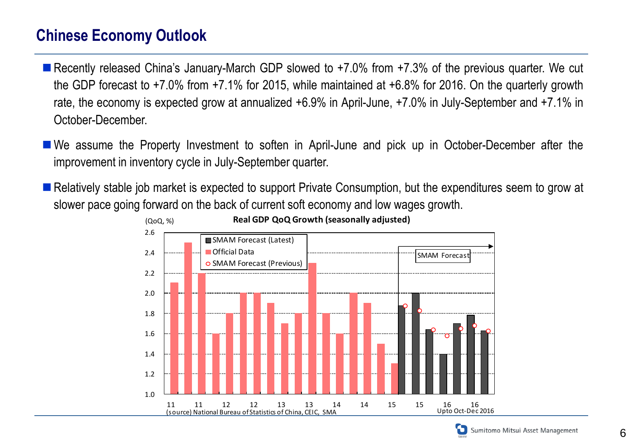## **Chinese Economy Outlook**

- Recently released China's January-March GDP slowed to +7.0% from +7.3% of the previous quarter. We cut the GDP forecast to +7.0% from +7.1% for 2015, while maintained at +6.8% for 2016. On the quarterly growth rate, the economy is expected grow at annualized +6.9% in April-June, +7.0% in July-September and +7.1% in October-December.
- We assume the Property Investment to soften in April-June and pick up in October-December after the improvement in inventory cycle in July-September quarter.
- Relatively stable job market is expected to support Private Consumption, but the expenditures seem to grow at slower pace going forward on the back of current soft economy and low wages growth.



Sumitomo Mitsui Asset Management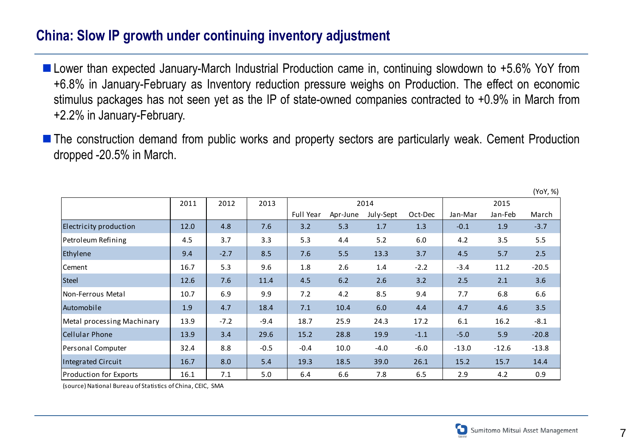#### **China: Slow IP growth under continuing inventory adjustment**

- Lower than expected January-March Industrial Production came in, continuing slowdown to +5.6% YoY from +6.8% in January-February as Inventory reduction pressure weighs on Production. The effect on economic stimulus packages has not seen yet as the IP of state-owned companies contracted to +0.9% in March from +2.2% in January-February.
- The construction demand from public works and property sectors are particularly weak. Cement Production dropped -20.5% in March.

|                               |      |        |        |           |          |           |         |         |         | (YoY, %) |
|-------------------------------|------|--------|--------|-----------|----------|-----------|---------|---------|---------|----------|
|                               | 2011 | 2012   | 2013   |           |          | 2014      |         | 2015    |         |          |
|                               |      |        |        | Full Year | Apr-June | July-Sept | Oct-Dec | Jan-Mar | Jan-Feb | March    |
| Electricity production        | 12.0 | 4.8    | 7.6    | 3.2       | 5.3      | 1.7       | 1.3     | $-0.1$  | 1.9     | $-3.7$   |
| Petroleum Refining            | 4.5  | 3.7    | 3.3    | 5.3       | 4.4      | 5.2       | 6.0     | 4.2     | 3.5     | 5.5      |
| Ethylene                      | 9.4  | $-2.7$ | 8.5    | 7.6       | 5.5      | 13.3      | 3.7     | 4.5     | 5.7     | 2.5      |
| Cement                        | 16.7 | 5.3    | 9.6    | 1.8       | 2.6      | 1.4       | $-2.2$  | $-3.4$  | 11.2    | $-20.5$  |
| <b>Steel</b>                  | 12.6 | 7.6    | 11.4   | 4.5       | 6.2      | 2.6       | 3.2     | 2.5     | 2.1     | 3.6      |
| Non-Ferrous Metal             | 10.7 | 6.9    | 9.9    | 7.2       | 4.2      | 8.5       | 9.4     | 7.7     | 6.8     | 6.6      |
| Automobile                    | 1.9  | 4.7    | 18.4   | 7.1       | 10.4     | 6.0       | 4.4     | 4.7     | 4.6     | 3.5      |
| Metal processing Machinary    | 13.9 | $-7.2$ | $-9.4$ | 18.7      | 25.9     | 24.3      | 17.2    | 6.1     | 16.2    | $-8.1$   |
| <b>Cellular Phone</b>         | 13.9 | 3.4    | 29.6   | 15.2      | 28.8     | 19.9      | $-1.1$  | $-5.0$  | 5.9     | $-20.8$  |
| Personal Computer             | 32.4 | 8.8    | $-0.5$ | $-0.4$    | 10.0     | $-4.0$    | $-6.0$  | $-13.0$ | $-12.6$ | $-13.8$  |
| Integrated Circuit            | 16.7 | 8.0    | 5.4    | 19.3      | 18.5     | 39.0      | 26.1    | 15.2    | 15.7    | 14.4     |
| <b>Production for Exports</b> | 16.1 | 7.1    | 5.0    | 6.4       | 6.6      | 7.8       | 6.5     | 2.9     | 4.2     | 0.9      |

(source) National Bureau of Statistics of China, CEIC, SMA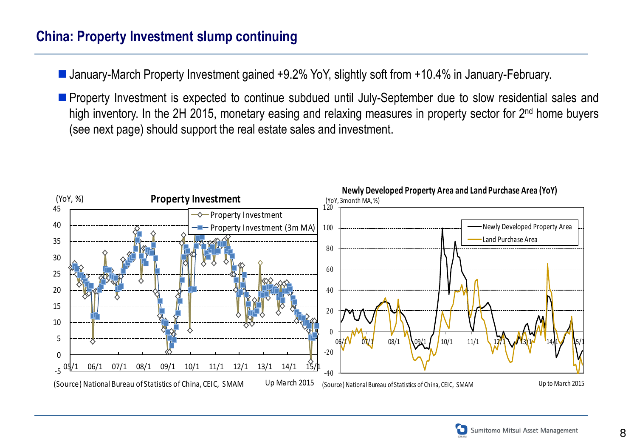#### **China: Property Investment slump continuing**

■ January-March Property Investment gained +9.2% YoY, slightly soft from +10.4% in January-February.

**Property Investment is expected to continue subdued until July-September due to slow residential sales and** high inventory. In the 2H 2015, monetary easing and relaxing measures in property sector for 2<sup>nd</sup> home buyers (see next page) should support the real estate sales and investment.



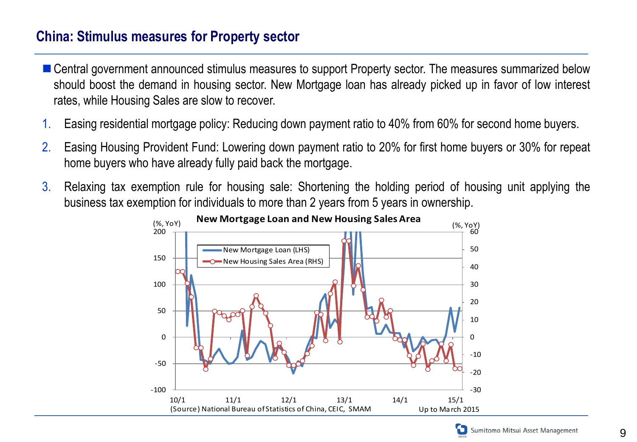#### **China: Stimulus measures for Property sector**

- Central government announced stimulus measures to support Property sector. The measures summarized below should boost the demand in housing sector. New Mortgage loan has already picked up in favor of low interest rates, while Housing Sales are slow to recover.
- 1. Easing residential mortgage policy: Reducing down payment ratio to 40% from 60% for second home buyers.
- 2. Easing Housing Provident Fund: Lowering down payment ratio to 20% for first home buyers or 30% for repeat home buyers who have already fully paid back the mortgage.
- 3. Relaxing tax exemption rule for housing sale: Shortening the holding period of housing unit applying the business tax exemption for individuals to more than 2 years from 5 years in ownership.



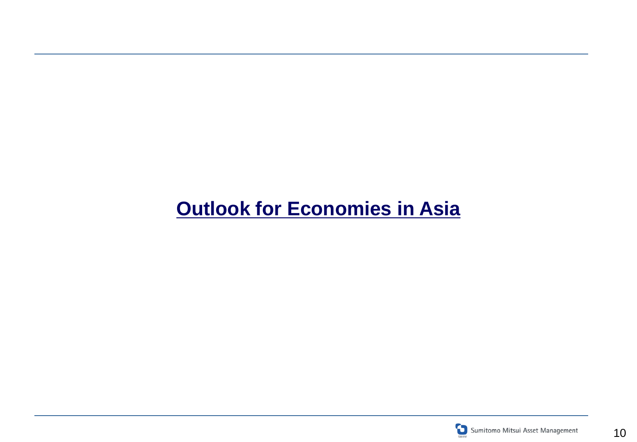# **Outlook for Economies in Asia**

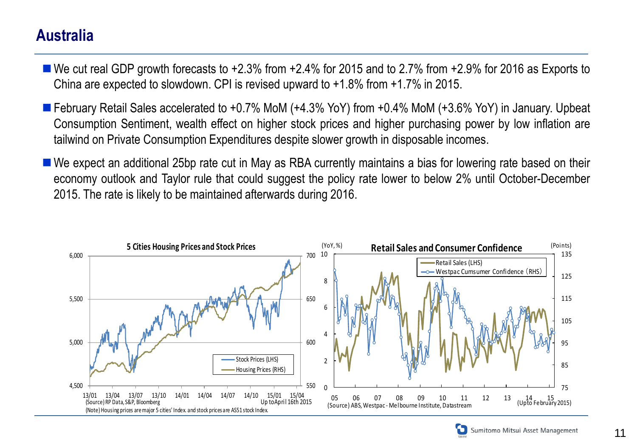#### **Australia**

- We cut real GDP growth forecasts to +2.3% from +2.4% for 2015 and to 2.7% from +2.9% for 2016 as Exports to China are expected to slowdown. CPI is revised upward to +1.8% from +1.7% in 2015.
- February Retail Sales accelerated to +0.7% MoM (+4.3% YoY) from +0.4% MoM (+3.6% YoY) in January. Upbeat Consumption Sentiment, wealth effect on higher stock prices and higher purchasing power by low inflation are tailwind on Private Consumption Expenditures despite slower growth in disposable incomes.
- We expect an additional 25bp rate cut in May as RBA currently maintains a bias for lowering rate based on their economy outlook and Taylor rule that could suggest the policy rate lower to below 2% until October-December 2015. The rate is likely to be maintained afterwards during 2016.



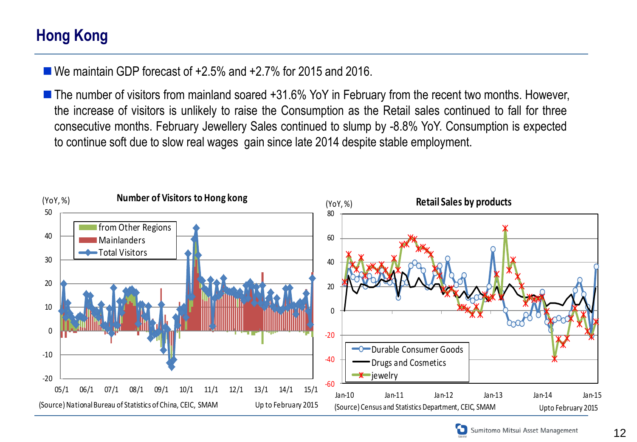## **Hong Kong**

■ We maintain GDP forecast of +2.5% and +2.7% for 2015 and 2016.

■ The number of visitors from mainland soared +31.6% YoY in February from the recent two months. However, the increase of visitors is unlikely to raise the Consumption as the Retail sales continued to fall for three consecutive months. February Jewellery Sales continued to slump by -8.8% YoY. Consumption is expected to continue soft due to slow real wages gain since late 2014 despite stable employment.

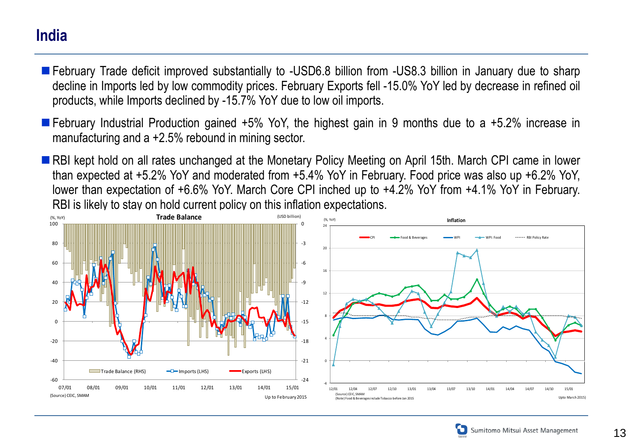#### **India**

- February Trade deficit improved substantially to -USD6.8 billion from -US8.3 billion in January due to sharp decline in Imports led by low commodity prices. February Exports fell -15.0% YoY led by decrease in refined oil products, while Imports declined by -15.7% YoY due to low oil imports.
- February Industrial Production gained +5% YoY, the highest gain in 9 months due to a +5.2% increase in manufacturing and a +2.5% rebound in mining sector.
- RBI kept hold on all rates unchanged at the Monetary Policy Meeting on April 15th. March CPI came in lower than expected at +5.2% YoY and moderated from +5.4% YoY in February. Food price was also up +6.2% YoY, lower than expectation of +6.6% YoY. March Core CPI inched up to +4.2% YoY from +4.1% YoY in February. RBI is likely to stay on hold current policy on this inflation expectations.



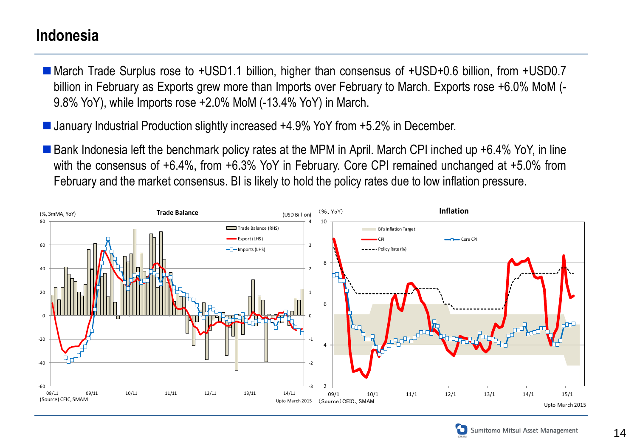#### **Indonesia**

- March Trade Surplus rose to +USD1.1 billion, higher than consensus of +USD+0.6 billion, from +USD0.7 billion in February as Exports grew more than Imports over February to March. Exports rose +6.0% MoM (- 9.8% YoY), while Imports rose +2.0% MoM (-13.4% YoY) in March.
- January Industrial Production slightly increased +4.9% YoY from +5.2% in December.
- Bank Indonesia left the benchmark policy rates at the MPM in April. March CPI inched up +6.4% YoY, in line with the consensus of +6.4%, from +6.3% YoY in February. Core CPI remained unchanged at +5.0% from February and the market consensus. BI is likely to hold the policy rates due to low inflation pressure.



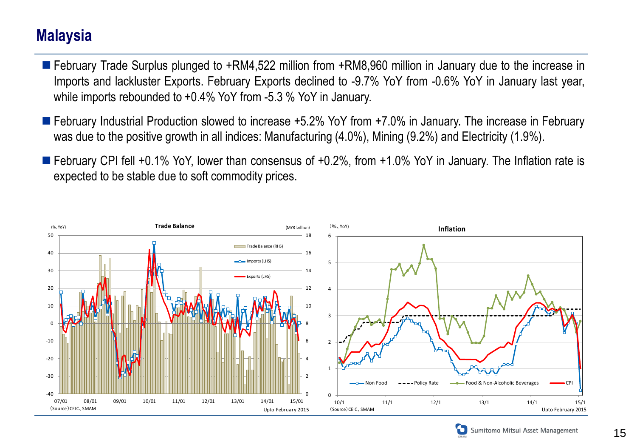#### **Malaysia**

- February Trade Surplus plunged to +RM4,522 million from +RM8,960 million in January due to the increase in Imports and lackluster Exports. February Exports declined to -9.7% YoY from -0.6% YoY in January last year, while imports rebounded to +0.4% YoY from -5.3 % YoY in January.
- February Industrial Production slowed to increase +5.2% YoY from +7.0% in January. The increase in February was due to the positive growth in all indices: Manufacturing (4.0%), Mining (9.2%) and Electricity (1.9%).
- February CPI fell +0.1% YoY, lower than consensus of +0.2%, from +1.0% YoY in January. The Inflation rate is expected to be stable due to soft commodity prices.



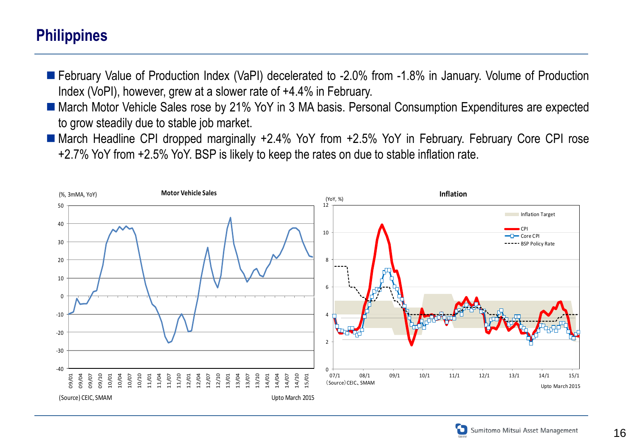### **Philippines**

- February Value of Production Index (VaPI) decelerated to -2.0% from -1.8% in January. Volume of Production Index (VoPI), however, grew at a slower rate of +4.4% in February.
- March Motor Vehicle Sales rose by 21% YoY in 3 MA basis. Personal Consumption Expenditures are expected to grow steadily due to stable job market.
- March Headline CPI dropped marginally +2.4% YoY from +2.5% YoY in February. February Core CPI rose +2.7% YoY from +2.5% YoY. BSP is likely to keep the rates on due to stable inflation rate.



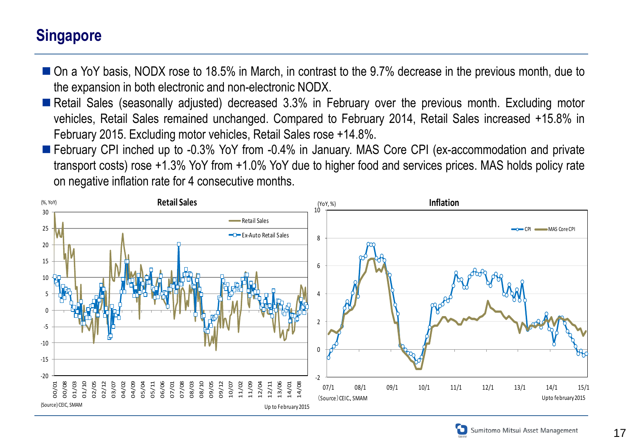#### **Singapore**

- On a YoY basis, NODX rose to 18.5% in March, in contrast to the 9.7% decrease in the previous month, due to the expansion in both electronic and non-electronic NODX.
- Retail Sales (seasonally adjusted) decreased 3.3% in February over the previous month. Excluding motor vehicles, Retail Sales remained unchanged. Compared to February 2014, Retail Sales increased +15.8% in February 2015. Excluding motor vehicles, Retail Sales rose +14.8%.
- **F** February CPI inched up to -0.3% YoY from -0.4% in January. MAS Core CPI (ex-accommodation and private transport costs) rose +1.3% YoY from +1.0% YoY due to higher food and services prices. MAS holds policy rate on negative inflation rate for 4 consecutive months.





17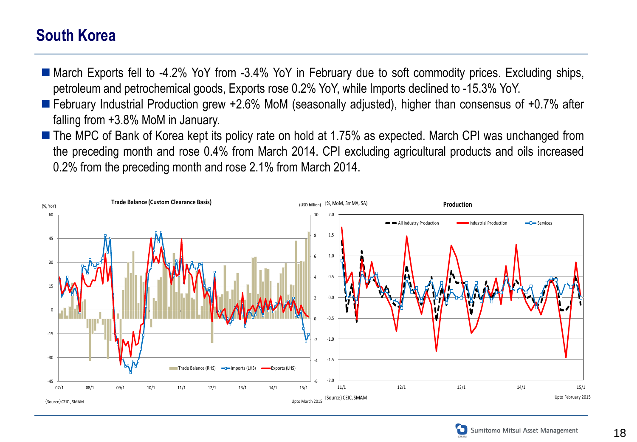### **South Korea**

- March Exports fell to -4.2% YoY from -3.4% YoY in February due to soft commodity prices. Excluding ships, petroleum and petrochemical goods, Exports rose 0.2% YoY, while Imports declined to -15.3% YoY.
- February Industrial Production grew +2.6% MoM (seasonally adjusted), higher than consensus of +0.7% after falling from +3.8% MoM in January.
- The MPC of Bank of Korea kept its policy rate on hold at 1.75% as expected. March CPI was unchanged from the preceding month and rose 0.4% from March 2014. CPI excluding agricultural products and oils increased 0.2% from the preceding month and rose 2.1% from March 2014.



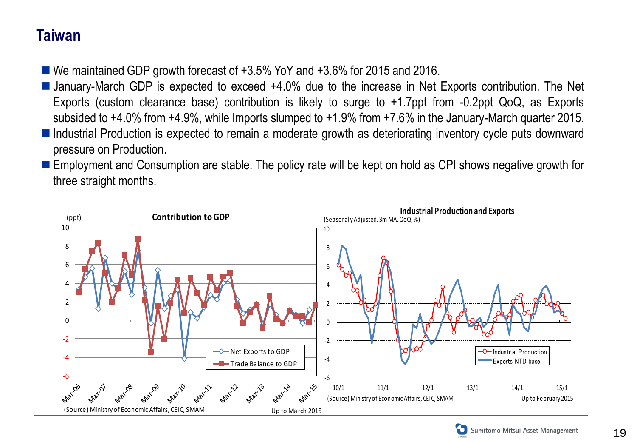## **Taiwan**

- We maintained GDP growth forecast of +3.5% YoY and +3.6% for 2015 and 2016.
- January-March GDP is expected to exceed +4.0% due to the increase in Net Exports contribution. The Net Exports (custom clearance base) contribution is likely to surge to +1.7ppt from -0.2ppt QoQ, as Exports subsided to +4.0% from +4.9%, while Imports slumped to +1.9% from +7.6% in the January-March quarter 2015.
- Industrial Production is expected to remain a moderate growth as deteriorating inventory cycle puts downward pressure on Production.
- Employment and Consumption are stable. The policy rate will be kept on hold as CPI shows negative growth for three straight months.





19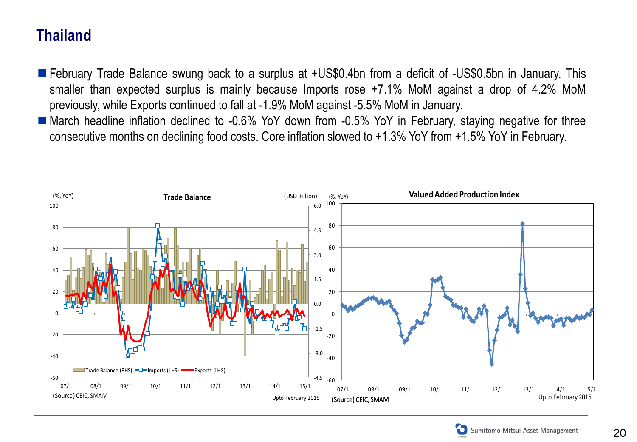## **Thailand**

- February Trade Balance swung back to a surplus at +US\$0.4bn from a deficit of -US\$0.5bn in January. This smaller than expected surplus is mainly because Imports rose +7.1% MoM against a drop of 4.2% MoM previously, while Exports continued to fall at -1.9% MoM against -5.5% MoM in January.
- March headline inflation declined to -0.6% YoY down from -0.5% YoY in February, staying negative for three consecutive months on declining food costs. Core inflation slowed to +1.3% YoY from +1.5% YoY in February.



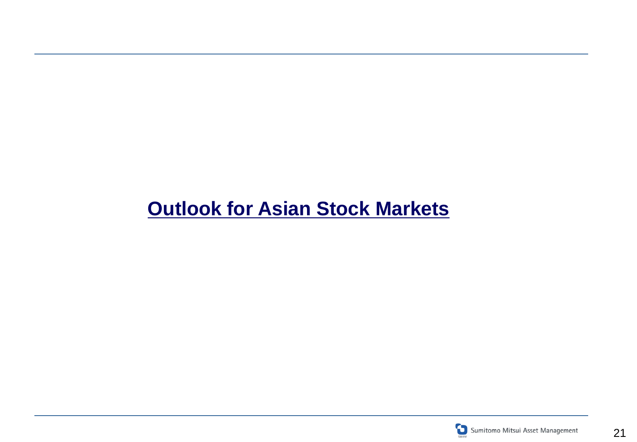# **Outlook for Asian Stock Markets**

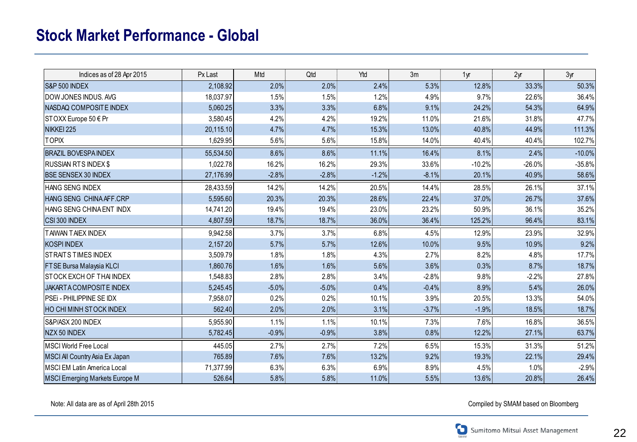## **Stock Market Performance - Global**

| Indices as of 28 Apr 2015             | Px Last   | Mtd     | Qtd     | Ytd     | 3m      | 1 <sub>yr</sub> | 2 <sub>yr</sub> | 3 <sub>yr</sub> |
|---------------------------------------|-----------|---------|---------|---------|---------|-----------------|-----------------|-----------------|
| S&P 500 INDEX                         | 2,108.92  | 2.0%    | 2.0%    | 2.4%    | 5.3%    | 12.8%           | 33.3%           | 50.3%           |
| DOW JONES INDUS. AVG                  | 18,037.97 | 1.5%    | 1.5%    | 1.2%    | 4.9%    | 9.7%            | 22.6%           | 36.4%           |
| NASDAQ COMPOSITE INDEX                | 5,060.25  | 3.3%    | 3.3%    | 6.8%    | 9.1%    | 24.2%           | 54.3%           | 64.9%           |
| STOXX Europe 50 € Pr                  | 3,580.45  | 4.2%    | 4.2%    | 19.2%   | 11.0%   | 21.6%           | 31.8%           | 47.7%           |
| NIKKEI 225                            | 20,115.10 | 4.7%    | 4.7%    | 15.3%   | 13.0%   | 40.8%           | 44.9%           | 111.3%          |
| <b>TOPIX</b>                          | 1,629.95  | 5.6%    | 5.6%    | 15.8%   | 14.0%   | 40.4%           | 40.4%           | 102.7%          |
| <b>BRAZIL BOVESPAINDEX</b>            | 55,534.50 | 8.6%    | 8.6%    | 11.1%   | 16.4%   | 8.1%            | 2.4%            | $-10.0\%$       |
| <b>RUSSIAN RTS INDEX \$</b>           | 1,022.78  | 16.2%   | 16.2%   | 29.3%   | 33.6%   | $-10.2%$        | $-26.0%$        | $-35.8%$        |
| <b>BSE SENSEX 30 INDEX</b>            | 27,176.99 | $-2.8%$ | $-2.8%$ | $-1.2%$ | $-8.1%$ | 20.1%           | 40.9%           | 58.6%           |
| HANG SENG INDEX                       | 28,433.59 | 14.2%   | 14.2%   | 20.5%   | 14.4%   | 28.5%           | 26.1%           | 37.1%           |
| HANG SENG CHINA AFF.CRP               | 5,595.60  | 20.3%   | 20.3%   | 28.6%   | 22.4%   | 37.0%           | 26.7%           | 37.6%           |
| HANG SENG CHINA ENT INDX              | 14,741.20 | 19.4%   | 19.4%   | 23.0%   | 23.2%   | 50.9%           | 36.1%           | 35.2%           |
| CSI 300 INDEX                         | 4,807.59  | 18.7%   | 18.7%   | 36.0%   | 36.4%   | 125.2%          | 96.4%           | 83.1%           |
| <b>TAIWAN TAIEX INDEX</b>             | 9,942.58  | 3.7%    | 3.7%    | 6.8%    | 4.5%    | 12.9%           | 23.9%           | 32.9%           |
| <b>KOSPI INDEX</b>                    | 2,157.20  | 5.7%    | 5.7%    | 12.6%   | 10.0%   | 9.5%            | 10.9%           | 9.2%            |
| <b>STRAITS TIMES INDEX</b>            | 3,509.79  | 1.8%    | 1.8%    | 4.3%    | 2.7%    | 8.2%            | 4.8%            | 17.7%           |
| FTSE Bursa Malaysia KLCI              | 1,860.76  | 1.6%    | 1.6%    | 5.6%    | 3.6%    | $0.3\%$         | 8.7%            | 18.7%           |
| STOCK EXCH OF THAI INDEX              | 1,548.83  | 2.8%    | 2.8%    | 3.4%    | $-2.8%$ | 9.8%            | $-2.2%$         | 27.8%           |
| JAKARTA COMPOSITE INDEX               | 5,245.45  | $-5.0%$ | $-5.0%$ | 0.4%    | $-0.4%$ | 8.9%            | 5.4%            | 26.0%           |
| PSEi - PHILIPPINE SE IDX              | 7,958.07  | 0.2%    | 0.2%    | 10.1%   | 3.9%    | 20.5%           | 13.3%           | 54.0%           |
| <b>HO CHI MINH STOCK INDEX</b>        | 562.40    | 2.0%    | 2.0%    | 3.1%    | $-3.7%$ | $-1.9%$         | 18.5%           | 18.7%           |
| S&P/ASX 200 INDEX                     | 5,955.90  | 1.1%    | 1.1%    | 10.1%   | 7.3%    | 7.6%            | 16.8%           | 36.5%           |
| NZX 50 INDEX                          | 5,782.45  | $-0.9%$ | $-0.9%$ | 3.8%    | 0.8%    | 12.2%           | 27.1%           | 63.7%           |
| <b>MSCI World Free Local</b>          | 445.05    | 2.7%    | 2.7%    | 7.2%    | 6.5%    | 15.3%           | 31.3%           | 51.2%           |
| MSCI All Country Asia Ex Japan        | 765.89    | 7.6%    | 7.6%    | 13.2%   | 9.2%    | 19.3%           | 22.1%           | 29.4%           |
| <b>MSCI EM Latin America Local</b>    | 71,377.99 | 6.3%    | 6.3%    | 6.9%    | 8.9%    | 4.5%            | 1.0%            | $-2.9%$         |
| <b>MSCI Emerging Markets Europe M</b> | 526.64    | 5.8%    | 5.8%    | 11.0%   | 5.5%    | 13.6%           | 20.8%           | 26.4%           |

Note: All data are as of April 28th 2015 Compiled by SMAM based on Bloomberg

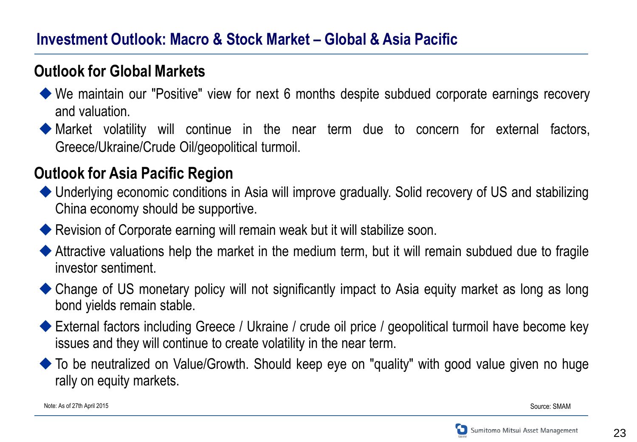#### **Investment Outlook: Macro & Stock Market – Global & Asia Pacific**

#### **Outlook for Global Markets**

- We maintain our "Positive" view for next 6 months despite subdued corporate earnings recovery and valuation.
- Market volatility will continue in the near term due to concern for external factors, Greece/Ukraine/Crude Oil/geopolitical turmoil.

#### **Outlook for Asia Pacific Region**

- ◆ Underlying economic conditions in Asia will improve gradually. Solid recovery of US and stabilizing China economy should be supportive.
- Revision of Corporate earning will remain weak but it will stabilize soon.
- Attractive valuations help the market in the medium term, but it will remain subdued due to fragile investor sentiment.
- ◆ Change of US monetary policy will not significantly impact to Asia equity market as long as long bond yields remain stable.
- External factors including Greece / Ukraine / crude oil price / geopolitical turmoil have become key issues and they will continue to create volatility in the near term.
- To be neutralized on Value/Growth. Should keep eye on "quality" with good value given no huge rally on equity markets.

Source: SMAM

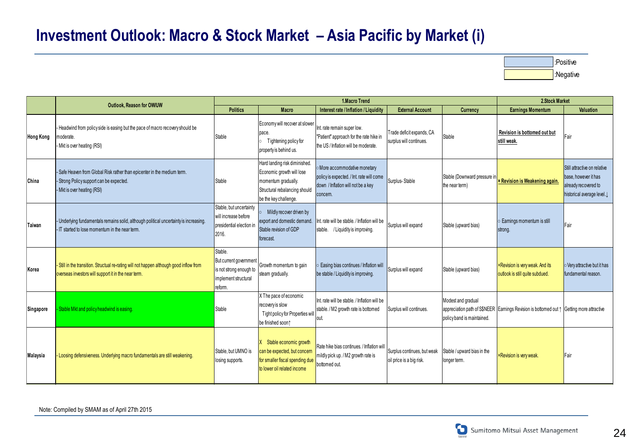### **Investment Outlook: Macro & Stock Market – Asia Pacific by Market (i)**

| l:Positive |
|------------|
| Negative   |

|                  | Outlook, Reason for OW/UW                                                                                                                         |                                                                                                 |                                                                                                                                             | 2.Stock Market                                                                                                             |                                                         |                                                  |                                                                                          |                                                                                                             |
|------------------|---------------------------------------------------------------------------------------------------------------------------------------------------|-------------------------------------------------------------------------------------------------|---------------------------------------------------------------------------------------------------------------------------------------------|----------------------------------------------------------------------------------------------------------------------------|---------------------------------------------------------|--------------------------------------------------|------------------------------------------------------------------------------------------|-------------------------------------------------------------------------------------------------------------|
|                  |                                                                                                                                                   | <b>Politics</b>                                                                                 | Macro                                                                                                                                       | Interest rate / Inflation / Liquidity                                                                                      | <b>External Account</b>                                 | <b>Currency</b>                                  | <b>Earnings Momentum</b>                                                                 | Valuation                                                                                                   |
| <b>Hong Kong</b> | - Headwind from policy side is easing but the pace of macro recovery should be<br>moderate.<br>Mkt is over heating (RSI)                          | Stable                                                                                          | Economy will recover at slower<br>pace.<br>Tightening policy for<br>property is behind us.                                                  | Int. rate remain super low.<br>"Patient" approach for the rate hike in<br>the US / Inflation will be moderate.             | Trade deficit expands, CA<br>surplus will continues.    | Stable                                           | Revision is bottomed out but<br>still weak.                                              | Fair                                                                                                        |
| China            | - Safe Heaven from Global Risk rather than epicenter in the medium term.<br>Strong Policy support can be expected.<br>- Mkt is over heating (RSI) | Stable                                                                                          | Hard landing risk diminished.<br>Economic growth will lose<br>momentum gradually.<br>Structural rebalancing should<br>be the key challenge. | More accommodative monetary<br>policy is expected. / Int. rate will come<br>down / Inflation will not be a key<br>concern. | Surplus-Stable                                          | Stable (Downward pressure in<br>the near term)   | <b>× Revision is Weakening again.</b>                                                    | Still attractive on relative<br>base, however it has<br>already recovered to<br>historical average level. J |
| Taiwan           | - Underlying fundamentals remains solid, although political uncertainty is increasing.<br>- IT started to lose momentum in the near term.         | Stable, but uncertainty<br>will increase before<br>presidential election in<br>2016.            | Mildly recover driven by<br>export and domestic demand<br>Stable revision of GDP<br>forecast.                                               | nt, rate will be stable. / Inflation will be<br>stable. / Liquidity is improving.                                          | Surplus will expand                                     | Stable (upward bias)                             | Eamings momentum is still<br>strong.                                                     | <b>IFair</b>                                                                                                |
| Korea            | - Still in the transition. Structual re-rating will not happen although good inflow from<br>overseas investors will support it in the near term.  | Stable.<br>But current government<br>is not strong enough to<br>implement structural<br>reform. | Growth momentum to gain<br>steam gradually.                                                                                                 | Easing bias continues / Inflation will<br>be stable / Liquidity is improving.                                              | Surplus will expand                                     | Stable (upward bias)                             | <b>×Revision is very weak. And its</b><br>outlook is still quite subdued.                | Very attractive but it has<br>fundamental reason.                                                           |
| Singapore        | Stable Mkt and policy headwind is easing.                                                                                                         | Stable                                                                                          | X The pace of economic<br>recovery is slow<br>Tight policy for Properties will<br>be finished soon?                                         | Int. rate will be stable. / Inflation will be<br>stable. / M2 growth rate is bottomed<br>out.                              | Surplus will continues.                                 | Modest and gradual<br>policy band is maintained. | appreciation path of S\$NEER Earnings Revision is bottomed out 1 Getting more attractive |                                                                                                             |
| Malaysia         | - Loosing defensiveness. Underlying macro fundamentals are still weakening.                                                                       | Stable, but UMNO is<br>losing supports.                                                         | Stable economic growth<br>can be expected, but concern<br>for smaller fiscal spending due<br>to lower oil related income                    | Rate hike bias continues. / Inflation will<br>mildly pick up. / M2 growth rate is<br>bottomed out.                         | Surplus continues, but weak<br>oil price is a big risk. | Stable / upward bias in the<br>longer term.      | <b>×Revision is very weak.</b>                                                           | Fair                                                                                                        |

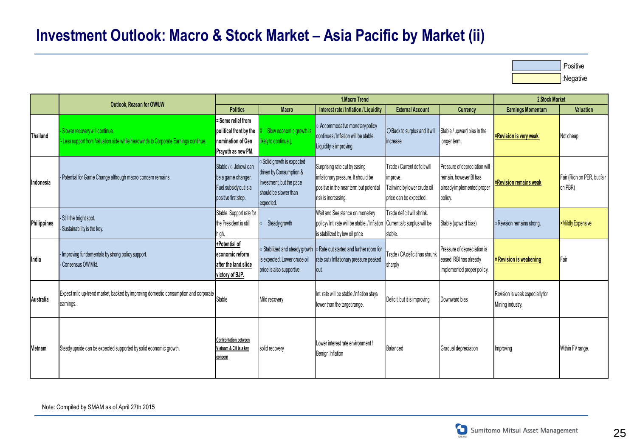### **Investment Outlook: Macro & Stock Market – Asia Pacific by Market (ii)**

:Positive :Negative

|                    | Outlook, Reason for OW/UW                                                                                               |                                                                                              |                                                                                                                       | 2.Stock Market                                                                                                                         |                                                                                                   |                                                                                                  |                                                     |                                        |
|--------------------|-------------------------------------------------------------------------------------------------------------------------|----------------------------------------------------------------------------------------------|-----------------------------------------------------------------------------------------------------------------------|----------------------------------------------------------------------------------------------------------------------------------------|---------------------------------------------------------------------------------------------------|--------------------------------------------------------------------------------------------------|-----------------------------------------------------|----------------------------------------|
|                    |                                                                                                                         | <b>Politics</b>                                                                              | Macro                                                                                                                 | Interest rate / Inflation / Liquidity                                                                                                  | <b>External Account</b>                                                                           | <b>Currency</b>                                                                                  | <b>Earnings Momentum</b>                            | Valuation                              |
| Thailand           | - Slower recovery will continue.<br>'- Less support from Valuation side while headwinds to Corporate Earnings continue. | = Some relief from<br>political front by the<br>nomination of Gen<br>Prayuth as new PM.      | Slow economic growth is<br>kely to continue.                                                                          | o Accommodative monetary policy<br>continues / Inflation will be stable.<br>Liquidity is improving.                                    | O Back to surplus and it will<br>increase                                                         | Stable / upward bias in the<br>longer term.                                                      | <b>×Revision is very weak.</b>                      | Not cheap                              |
| Indonesia          | - Potential for Game Change although macro concern remains.                                                             | Stable / o Jokowi can<br>be a game changer.<br>Fuel subsidy cut is a<br>positive first step. | Solid growth is expected<br>driven by Consumption &<br>Investment, but the pace<br>should be slower than<br>expected. | Surprising rate cut by easing<br>inflationary pressure. It should be<br>positive in the near term but potential<br>risk is increasing. | Trade / Current deficit will<br>improve.<br>Tailwind by lower crude oil<br>price can be expected. | Pressure of depreciation will<br>remain, however BI has<br>already implemented proper<br>policy. | <b><i><b>×Revision remains weak</b></i></b>         | Fair (Rich on PER, but fair<br>on PBR) |
| <b>Philippines</b> | - Still the bright spot.<br>- Sustainability is the key.                                                                | Stable. Support rate for<br>the President is still<br>high.                                  | Steady growth                                                                                                         | Wait and See stance on monetary<br>policy/ Int. rate will be stable. / Inflation<br>is stabilized by low oil price                     | Trade deficit will shrink.<br>Current a/c surplus will be<br>stable.                              | Stable (upward bias)                                                                             | Revision remains strong.                            | <b>×Mildly Expensive</b>               |
| India              | - Improving fundamentals by strong policy support.<br>- Consensus OW Mkt.                                               | +Potential of<br>economic reform<br>lafter the land slide<br>victory of BJP.                 | Stabilized and steady growth<br>is expected. Lower crude oil<br>price is also supportive.                             | Rate cut started and further room for<br>rate cut / Inflationary pressure peaked<br>lout.                                              | Trade / CA deficit has shrunk<br>sharply                                                          | Pressure of depreciation is<br>eased. RBI has already<br>implemented proper policy.              | <b>x Revision is weakening</b>                      | Fair                                   |
| Australia          | Expect mild up-trend market, backed by improving domestic consumption and corporate<br>earnings.                        | Stable                                                                                       | Mild recovery                                                                                                         | Int. rate will be stable./Inflation stays<br>lower than the target range.                                                              | Deficit, but it is improving                                                                      | Downward bias                                                                                    | Revision is weak especially for<br>Mining industry. |                                        |
| Vietnam            | Steady upside can be expected supported by solid economic growth.                                                       | <b>Confrontation between</b><br>Vietnam & CH is a key<br>concern                             | solid recovery                                                                                                        | Lower interest rate environment /<br>Benign Inflation                                                                                  | Balanced                                                                                          | Gradual depreciation                                                                             | Improving                                           | Within FV range.                       |

Note: Compiled by SMAM as of April 27th 2015

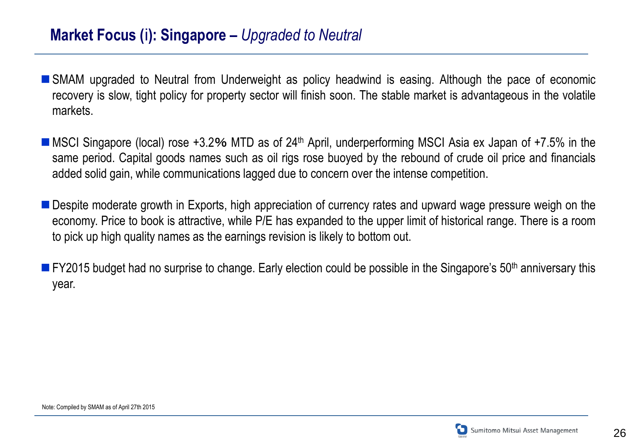#### **Market Focus (**i**): Singapore –** *Upgraded to Neutral*

- SMAM upgraded to Neutral from Underweight as policy headwind is easing. Although the pace of economic recovery is slow, tight policy for property sector will finish soon. The stable market is advantageous in the volatile markets.
- MSCI Singapore (local) rose  $+3.2$ % MTD as of 24<sup>th</sup> April, underperforming MSCI Asia ex Japan of  $+7.5\%$  in the same period. Capital goods names such as oil rigs rose buoyed by the rebound of crude oil price and financials added solid gain, while communications lagged due to concern over the intense competition.
- **Despite moderate growth in Exports, high appreciation of currency rates and upward wage pressure weigh on the** economy. Price to book is attractive, while P/E has expanded to the upper limit of historical range. There is a room to pick up high quality names as the earnings revision is likely to bottom out.
- **FY2015 budget had no surprise to change. Early election could be possible in the Singapore's 50<sup>th</sup> anniversary this** year.

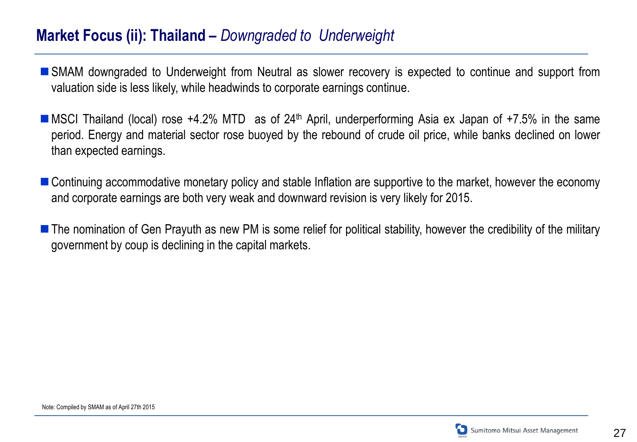#### **Market Focus (ii): Thailand –** *Downgraded to Underweight*

- SMAM downgraded to Underweight from Neutral as slower recovery is expected to continue and support from valuation side is less likely, while headwinds to corporate earnings continue.
- MSCI Thailand (local) rose +4.2% MTD as of 24<sup>th</sup> April, underperforming Asia ex Japan of +7.5% in the same period. Energy and material sector rose buoyed by the rebound of crude oil price, while banks declined on lower than expected earnings.
- Continuing accommodative monetary policy and stable Inflation are supportive to the market, however the economy and corporate earnings are both very weak and downward revision is very likely for 2015.
- The nomination of Gen Prayuth as new PM is some relief for political stability, however the credibility of the military government by coup is declining in the capital markets.